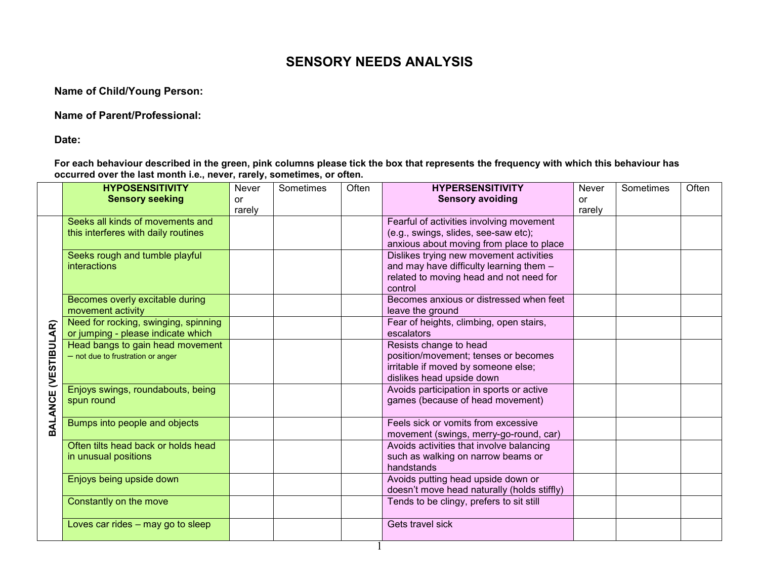## **SENSORY NEEDS ANALYSIS**

**Name of Child/Young Person:**

**Name of Parent/Professional:**

**Date:**

**For each behaviour described in the green, pink columns please tick the box that represents the frequency with which this behaviour has occurred over the last month i.e., never, rarely, sometimes, or often.**

|                 | <b>HYPOSENSITIVITY</b>               | Never  | Sometimes | Often | <b>HYPERSENSITIVITY</b>                                                                 | Never     | Sometimes | Often |
|-----------------|--------------------------------------|--------|-----------|-------|-----------------------------------------------------------------------------------------|-----------|-----------|-------|
|                 | <b>Sensory seeking</b>               | or     |           |       | <b>Sensory avoiding</b>                                                                 | <b>or</b> |           |       |
|                 |                                      | rarely |           |       |                                                                                         | rarely    |           |       |
|                 | Seeks all kinds of movements and     |        |           |       | Fearful of activities involving movement                                                |           |           |       |
|                 | this interferes with daily routines  |        |           |       | (e.g., swings, slides, see-saw etc);                                                    |           |           |       |
|                 |                                      |        |           |       | anxious about moving from place to place                                                |           |           |       |
|                 | Seeks rough and tumble playful       |        |           |       | Dislikes trying new movement activities                                                 |           |           |       |
|                 | <b>interactions</b>                  |        |           |       | and may have difficulty learning them -                                                 |           |           |       |
|                 |                                      |        |           |       | related to moving head and not need for                                                 |           |           |       |
|                 |                                      |        |           |       | control                                                                                 |           |           |       |
|                 | Becomes overly excitable during      |        |           |       | Becomes anxious or distressed when feet                                                 |           |           |       |
|                 | movement activity                    |        |           |       | leave the ground                                                                        |           |           |       |
| AR)             | Need for rocking, swinging, spinning |        |           |       | Fear of heights, climbing, open stairs,                                                 |           |           |       |
|                 | or jumping - please indicate which   |        |           |       | escalators                                                                              |           |           |       |
| <b>VESTIBUL</b> | Head bangs to gain head movement     |        |           |       | Resists change to head                                                                  |           |           |       |
|                 | - not due to frustration or anger    |        |           |       | position/movement; tenses or becomes                                                    |           |           |       |
|                 |                                      |        |           |       | irritable if moved by someone else;                                                     |           |           |       |
|                 |                                      |        |           |       | dislikes head upside down                                                               |           |           |       |
|                 | Enjoys swings, roundabouts, being    |        |           |       | Avoids participation in sports or active                                                |           |           |       |
|                 | spun round                           |        |           |       | games (because of head movement)                                                        |           |           |       |
| BALANCE         |                                      |        |           |       |                                                                                         |           |           |       |
|                 | Bumps into people and objects        |        |           |       | Feels sick or vomits from excessive                                                     |           |           |       |
|                 |                                      |        |           |       | movement (swings, merry-go-round, car)                                                  |           |           |       |
|                 | Often tilts head back or holds head  |        |           |       | Avoids activities that involve balancing                                                |           |           |       |
|                 | in unusual positions                 |        |           |       | such as walking on narrow beams or                                                      |           |           |       |
|                 |                                      |        |           |       | handstands                                                                              |           |           |       |
|                 | Enjoys being upside down             |        |           |       | Avoids putting head upside down or                                                      |           |           |       |
|                 |                                      |        |           |       | doesn't move head naturally (holds stiffly)<br>Tends to be clingy, prefers to sit still |           |           |       |
|                 | Constantly on the move               |        |           |       |                                                                                         |           |           |       |
|                 | Loves car rides $-$ may go to sleep  |        |           |       | Gets travel sick                                                                        |           |           |       |
|                 |                                      |        |           |       |                                                                                         |           |           |       |
|                 |                                      |        |           |       |                                                                                         |           |           |       |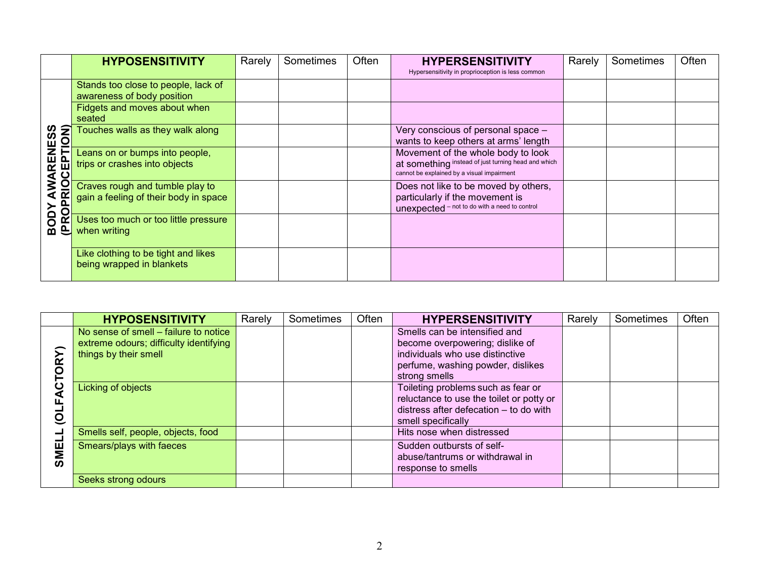|                           | <b>HYPOSENSITIVITY</b>                | Rarely | Sometimes | Often | <b>HYPERSENSITIVITY</b>                             | Rarely | Sometimes | Often |
|---------------------------|---------------------------------------|--------|-----------|-------|-----------------------------------------------------|--------|-----------|-------|
|                           |                                       |        |           |       | Hypersensitivity in proprioception is less common   |        |           |       |
|                           | Stands too close to people, lack of   |        |           |       |                                                     |        |           |       |
|                           | awareness of body position            |        |           |       |                                                     |        |           |       |
|                           | Fidgets and moves about when          |        |           |       |                                                     |        |           |       |
|                           | seated                                |        |           |       |                                                     |        |           |       |
| AWARENESS<br>PRIOCEPTION) | Touches walls as they walk along      |        |           |       | Very conscious of personal space -                  |        |           |       |
|                           |                                       |        |           |       | wants to keep others at arms' length                |        |           |       |
|                           | Leans on or bumps into people,        |        |           |       | Movement of the whole body to look                  |        |           |       |
|                           | trips or crashes into objects         |        |           |       | at something instead of just turning head and which |        |           |       |
|                           |                                       |        |           |       | cannot be explained by a visual impairment          |        |           |       |
|                           | Craves rough and tumble play to       |        |           |       | Does not like to be moved by others,                |        |           |       |
| $\overline{\mathbf{a}}$   | gain a feeling of their body in space |        |           |       | particularly if the movement is                     |        |           |       |
| $\overline{O}$            |                                       |        |           |       | unexpected - not to do with a need to control       |        |           |       |
| <b>BODY</b><br>ř          | Uses too much or too little pressure  |        |           |       |                                                     |        |           |       |
|                           | when writing                          |        |           |       |                                                     |        |           |       |
|                           |                                       |        |           |       |                                                     |        |           |       |
|                           | Like clothing to be tight and likes   |        |           |       |                                                     |        |           |       |
|                           | being wrapped in blankets             |        |           |       |                                                     |        |           |       |
|                           |                                       |        |           |       |                                                     |        |           |       |

|         | <b>HYPOSENSITIVITY</b>                                                                                   | Rarely | Sometimes | Often | <b>HYPERSENSITIVITY</b>                                                                                                                                         | Rarely | Sometimes | Often |
|---------|----------------------------------------------------------------------------------------------------------|--------|-----------|-------|-----------------------------------------------------------------------------------------------------------------------------------------------------------------|--------|-----------|-------|
|         | No sense of smell – failure to notice<br>extreme odours; difficulty identifying<br>things by their smell |        |           |       | Smells can be intensified and<br>become overpowering; dislike of<br>individuals who use distinctive<br>perfume, washing powder, dislikes                        |        |           |       |
|         | Licking of objects                                                                                       |        |           |       | strong smells<br>Toileting problems such as fear or<br>reluctance to use the toilet or potty or<br>distress after defecation - to do with<br>smell specifically |        |           |       |
|         | Smells self, people, objects, food                                                                       |        |           |       | Hits nose when distressed                                                                                                                                       |        |           |       |
| ш<br>≣ສ | Smears/plays with faeces                                                                                 |        |           |       | Sudden outbursts of self-<br>abuse/tantrums or withdrawal in<br>response to smells                                                                              |        |           |       |
|         | Seeks strong odours                                                                                      |        |           |       |                                                                                                                                                                 |        |           |       |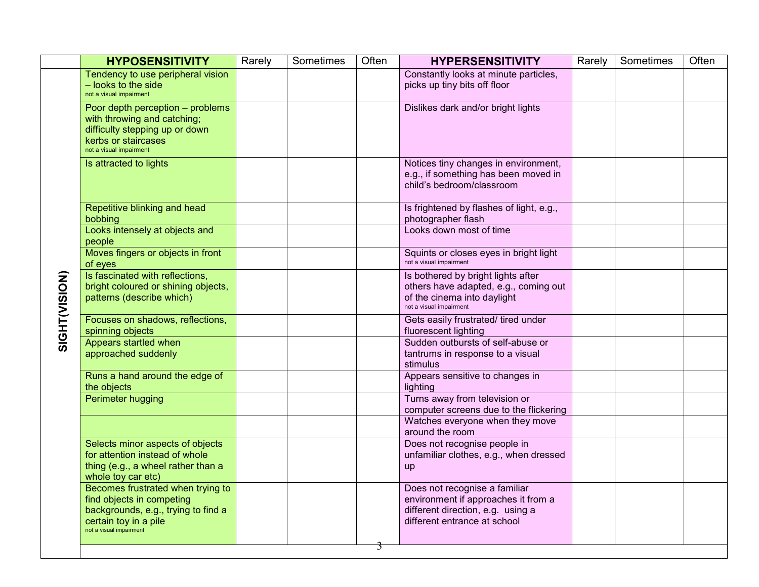|  |               | <b>HYPOSENSITIVITY</b>                                                                                                                                    | Rarely | Sometimes | Often | <b>HYPERSENSITIVITY</b>                                                                                                                   | Rarely | Sometimes | Often |
|--|---------------|-----------------------------------------------------------------------------------------------------------------------------------------------------------|--------|-----------|-------|-------------------------------------------------------------------------------------------------------------------------------------------|--------|-----------|-------|
|  |               | Tendency to use peripheral vision<br>- looks to the side<br>not a visual impairment                                                                       |        |           |       | Constantly looks at minute particles,<br>picks up tiny bits off floor                                                                     |        |           |       |
|  |               | Poor depth perception - problems<br>with throwing and catching;<br>difficulty stepping up or down<br>kerbs or staircases<br>not a visual impairment       |        |           |       | Dislikes dark and/or bright lights                                                                                                        |        |           |       |
|  |               | Is attracted to lights                                                                                                                                    |        |           |       | Notices tiny changes in environment,<br>e.g., if something has been moved in<br>child's bedroom/classroom                                 |        |           |       |
|  |               | Repetitive blinking and head<br>bobbing                                                                                                                   |        |           |       | Is frightened by flashes of light, e.g.,<br>photographer flash                                                                            |        |           |       |
|  |               | Looks intensely at objects and<br>people                                                                                                                  |        |           |       | Looks down most of time                                                                                                                   |        |           |       |
|  |               | Moves fingers or objects in front<br>of eyes                                                                                                              |        |           |       | Squints or closes eyes in bright light<br>not a visual impairment                                                                         |        |           |       |
|  | SIGHT(VISION) | Is fascinated with reflections,<br>bright coloured or shining objects,<br>patterns (describe which)                                                       |        |           |       | Is bothered by bright lights after<br>others have adapted, e.g., coming out<br>of the cinema into daylight<br>not a visual impairment     |        |           |       |
|  |               | Focuses on shadows, reflections,<br>spinning objects                                                                                                      |        |           |       | Gets easily frustrated/ tired under<br>fluorescent lighting                                                                               |        |           |       |
|  |               | Appears startled when<br>approached suddenly                                                                                                              |        |           |       | Sudden outbursts of self-abuse or<br>tantrums in response to a visual<br>stimulus                                                         |        |           |       |
|  |               | Runs a hand around the edge of<br>the objects                                                                                                             |        |           |       | Appears sensitive to changes in<br>lighting                                                                                               |        |           |       |
|  |               | Perimeter hugging                                                                                                                                         |        |           |       | Turns away from television or<br>computer screens due to the flickering                                                                   |        |           |       |
|  |               |                                                                                                                                                           |        |           |       | Watches everyone when they move<br>around the room                                                                                        |        |           |       |
|  |               | Selects minor aspects of objects<br>for attention instead of whole<br>thing (e.g., a wheel rather than a<br>whole toy car etc)                            |        |           |       | Does not recognise people in<br>unfamiliar clothes, e.g., when dressed<br><b>up</b>                                                       |        |           |       |
|  |               | Becomes frustrated when trying to<br>find objects in competing<br>backgrounds, e.g., trying to find a<br>certain toy in a pile<br>not a visual impairment |        |           |       | Does not recognise a familiar<br>environment if approaches it from a<br>different direction, e.g. using a<br>different entrance at school |        |           |       |
|  |               |                                                                                                                                                           |        |           | 3     |                                                                                                                                           |        |           |       |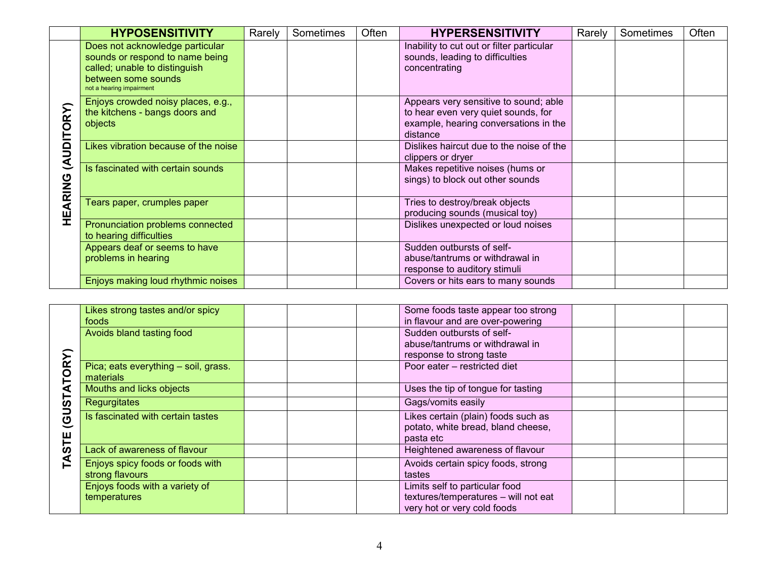|                     | <b>HYPOSENSITIVITY</b>                                                                                                                                 | Rarely | Sometimes | Often | <b>HYPERSENSITIVITY</b>                                                                                                           | Rarely | Sometimes | Often |
|---------------------|--------------------------------------------------------------------------------------------------------------------------------------------------------|--------|-----------|-------|-----------------------------------------------------------------------------------------------------------------------------------|--------|-----------|-------|
|                     | Does not acknowledge particular<br>sounds or respond to name being<br>called; unable to distinguish<br>between some sounds<br>not a hearing impairment |        |           |       | Inability to cut out or filter particular<br>sounds, leading to difficulties<br>concentrating                                     |        |           |       |
| <b>UDITORY</b><br>₹ | Enjoys crowded noisy places, e.g.,<br>the kitchens - bangs doors and<br>objects                                                                        |        |           |       | Appears very sensitive to sound; able<br>to hear even very quiet sounds, for<br>example, hearing conversations in the<br>distance |        |           |       |
|                     | Likes vibration because of the noise                                                                                                                   |        |           |       | Dislikes haircut due to the noise of the<br>clippers or dryer                                                                     |        |           |       |
|                     | Is fascinated with certain sounds                                                                                                                      |        |           |       | Makes repetitive noises (hums or<br>sings) to block out other sounds                                                              |        |           |       |
| EARING              | Tears paper, crumples paper                                                                                                                            |        |           |       | Tries to destroy/break objects<br>producing sounds (musical toy)                                                                  |        |           |       |
| Ï                   | Pronunciation problems connected<br>to hearing difficulties                                                                                            |        |           |       | Dislikes unexpected or loud noises                                                                                                |        |           |       |
|                     | Appears deaf or seems to have<br>problems in hearing                                                                                                   |        |           |       | Sudden outbursts of self-<br>abuse/tantrums or withdrawal in<br>response to auditory stimuli                                      |        |           |       |
|                     | Enjoys making loud rhythmic noises                                                                                                                     |        |           |       | Covers or hits ears to many sounds                                                                                                |        |           |       |

|   | Likes strong tastes and/or spicy<br>foods           | Some foods taste appear too strong<br>in flavour and are over-powering                                |  |  |
|---|-----------------------------------------------------|-------------------------------------------------------------------------------------------------------|--|--|
|   | Avoids bland tasting food                           | Sudden outbursts of self-<br>abuse/tantrums or withdrawal in<br>response to strong taste              |  |  |
|   | Pica; eats everything - soil, grass.<br>materials   | Poor eater - restricted diet                                                                          |  |  |
|   | Mouths and licks objects                            | Uses the tip of tongue for tasting                                                                    |  |  |
| ය | <b>Regurgitates</b>                                 | Gags/vomits easily                                                                                    |  |  |
|   | Is fascinated with certain tastes                   | Likes certain (plain) foods such as<br>potato, white bread, bland cheese,<br>pasta etc                |  |  |
| ഗ | Lack of awareness of flavour                        | Heightened awareness of flavour                                                                       |  |  |
|   | Enjoys spicy foods or foods with<br>strong flavours | Avoids certain spicy foods, strong<br>tastes                                                          |  |  |
|   | Enjoys foods with a variety of<br>temperatures      | Limits self to particular food<br>textures/temperatures - will not eat<br>very hot or very cold foods |  |  |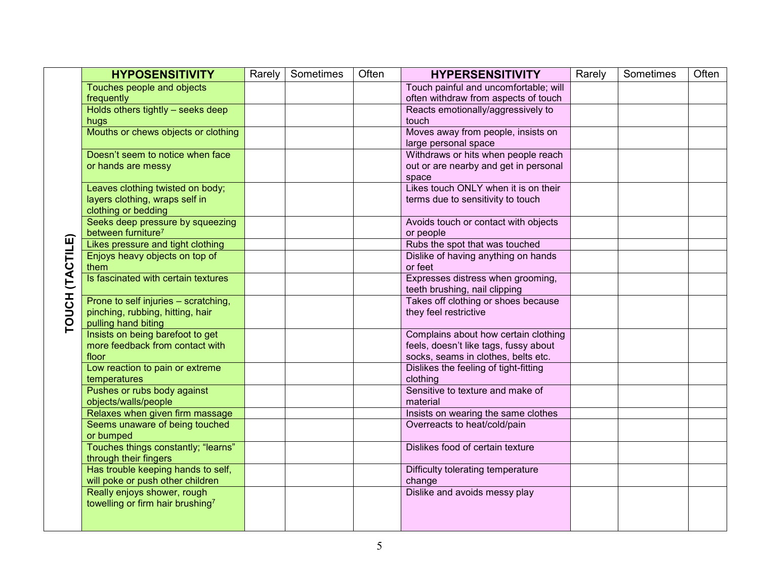|                 | <b>HYPOSENSITIVITY</b>                                                                          | Rarely | Sometimes | Often | <b>HYPERSENSITIVITY</b>                                                                                              | Rarely | Sometimes | Often |
|-----------------|-------------------------------------------------------------------------------------------------|--------|-----------|-------|----------------------------------------------------------------------------------------------------------------------|--------|-----------|-------|
|                 | Touches people and objects                                                                      |        |           |       | Touch painful and uncomfortable; will                                                                                |        |           |       |
|                 | frequently                                                                                      |        |           |       | often withdraw from aspects of touch                                                                                 |        |           |       |
|                 | Holds others tightly - seeks deep                                                               |        |           |       | Reacts emotionally/aggressively to                                                                                   |        |           |       |
|                 | hugs<br>Mouths or chews objects or clothing                                                     |        |           |       | touch<br>Moves away from people, insists on                                                                          |        |           |       |
|                 |                                                                                                 |        |           |       | large personal space                                                                                                 |        |           |       |
|                 | Doesn't seem to notice when face<br>or hands are messy                                          |        |           |       | Withdraws or hits when people reach<br>out or are nearby and get in personal                                         |        |           |       |
|                 | Leaves clothing twisted on body;                                                                |        |           |       | space<br>Likes touch ONLY when it is on their                                                                        |        |           |       |
|                 | layers clothing, wraps self in<br>clothing or bedding                                           |        |           |       | terms due to sensitivity to touch                                                                                    |        |           |       |
|                 | Seeks deep pressure by squeezing<br>between furniture <sup>7</sup>                              |        |           |       | Avoids touch or contact with objects<br>or people                                                                    |        |           |       |
|                 | Likes pressure and tight clothing                                                               |        |           |       | Rubs the spot that was touched                                                                                       |        |           |       |
|                 | Enjoys heavy objects on top of<br>them                                                          |        |           |       | Dislike of having anything on hands<br>or feet                                                                       |        |           |       |
|                 | Is fascinated with certain textures                                                             |        |           |       | Expresses distress when grooming,<br>teeth brushing, nail clipping                                                   |        |           |       |
| TOUCH (TACTILE) | Prone to self injuries - scratching,<br>pinching, rubbing, hitting, hair<br>pulling hand biting |        |           |       | Takes off clothing or shoes because<br>they feel restrictive                                                         |        |           |       |
|                 | Insists on being barefoot to get<br>more feedback from contact with<br>floor                    |        |           |       | Complains about how certain clothing<br>feels, doesn't like tags, fussy about<br>socks, seams in clothes, belts etc. |        |           |       |
|                 | Low reaction to pain or extreme<br>temperatures                                                 |        |           |       | Dislikes the feeling of tight-fitting<br>clothing                                                                    |        |           |       |
|                 | Pushes or rubs body against<br>objects/walls/people                                             |        |           |       | Sensitive to texture and make of<br>material                                                                         |        |           |       |
|                 | Relaxes when given firm massage                                                                 |        |           |       | Insists on wearing the same clothes                                                                                  |        |           |       |
|                 | Seems unaware of being touched<br>or bumped                                                     |        |           |       | Overreacts to heat/cold/pain                                                                                         |        |           |       |
|                 | Touches things constantly; "learns"<br>through their fingers                                    |        |           |       | Dislikes food of certain texture                                                                                     |        |           |       |
|                 | Has trouble keeping hands to self,<br>will poke or push other children                          |        |           |       | Difficulty tolerating temperature<br>change                                                                          |        |           |       |
|                 | Really enjoys shower, rough<br>towelling or firm hair brushing7                                 |        |           |       | Dislike and avoids messy play                                                                                        |        |           |       |